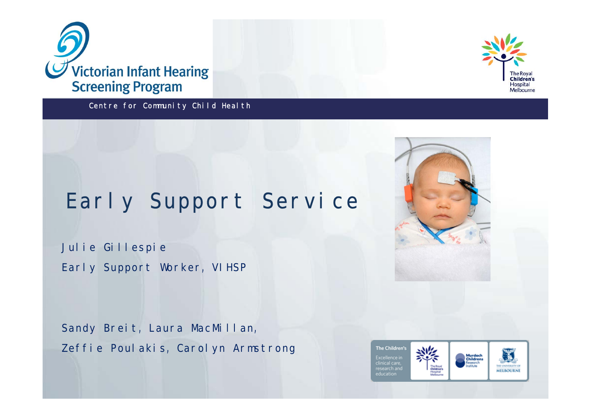

Centre for Community Child Health



# Early Support Service

Julie Gillespie Early Support Worker, VIHSP

Sandy Breit, Laura MacMillan, Zeffie Poulakis, Carolyn Armstrong



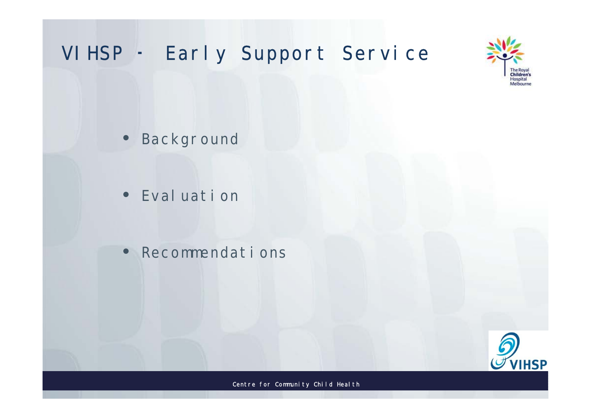



• Backgr ound

• Ev al uat i on

÷

• Rec ommendat i ons

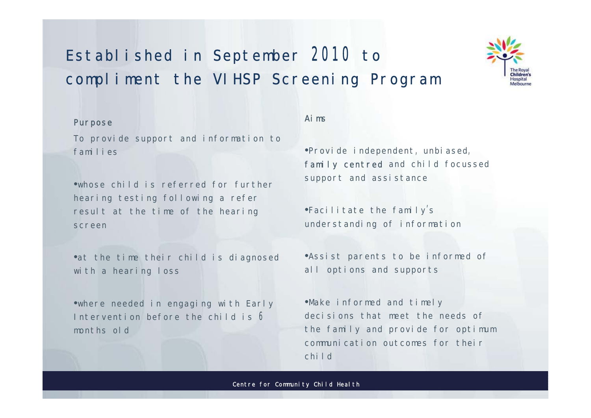### Established in September 2010 to compliment the VIHSP Screening Program



#### Pur pose

To provide support and information to families

·whose child is referred for further hearing testing following a refer result at the time of the hearing screen

•at the time their child is diagnosed with a hearing loss

•where needed in engaging with Early Intervention before the child is 6 months old

#### Ai m

•Provide independent, unbiased, family centred and child focussed support and assistance

•Facilitate the family's under st anding of information

.<br>• Assist parents to be informed of all options and supports

. Make informed and timely decisions that meet the needs of the family and provide for optimum communication outcomes for their  $child$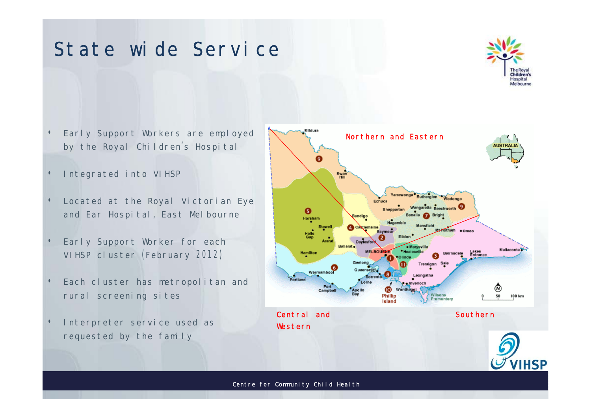### St at e wi de Service



- Early Support Workers are employed by the Royal Children's Hospital
- Integrated into VIHSP
- Located at the Royal Victorian Eye and Ear Hospital, East Melbourne
- Early Support Worker for each VI HSP cluster (February 2012)
- Each cluster has metropolitan and r ur al screening sites
- Interpreter service used as requested by the family

÷

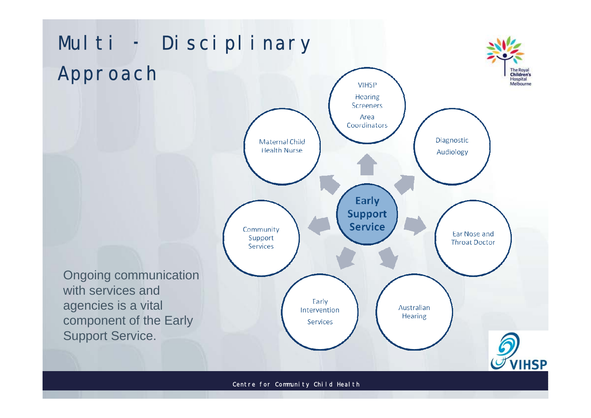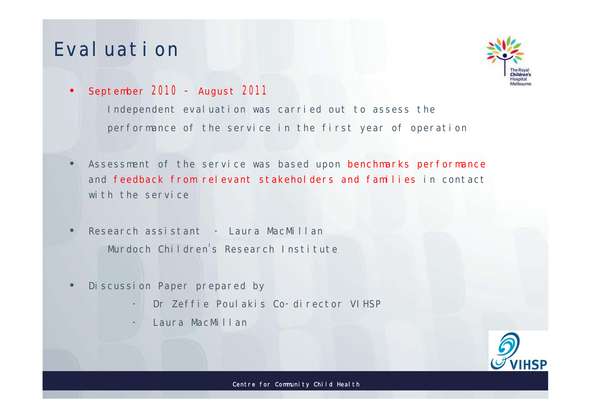### Ev al uat i on

÷



• Sept ember  $2010 -$  August  $2011$ 

Independent evaluation was carried out to assess the per f or mance of the service in the first year of operation

- Assessment of the service was based upon benchmarks performance and feedback from relevant stakeholders and families in contact with the service
- $Re$ s earch as sist ant  $-$  Laura Mac Millan Mur doch Children's Research Institute
- Di scussi on Paper pr epar ed by
	- Dr Zeffie Poul akis Co-director VIHSP
	- Laur a Mac Millan

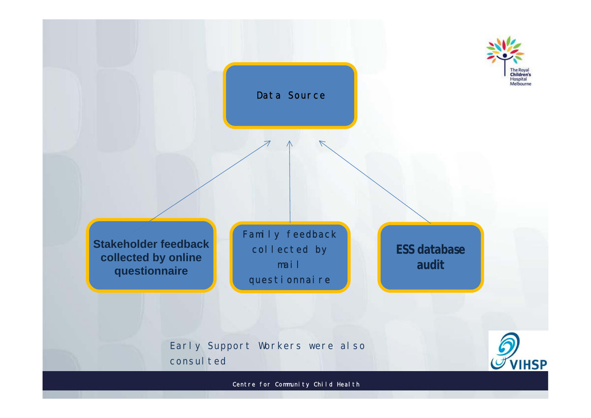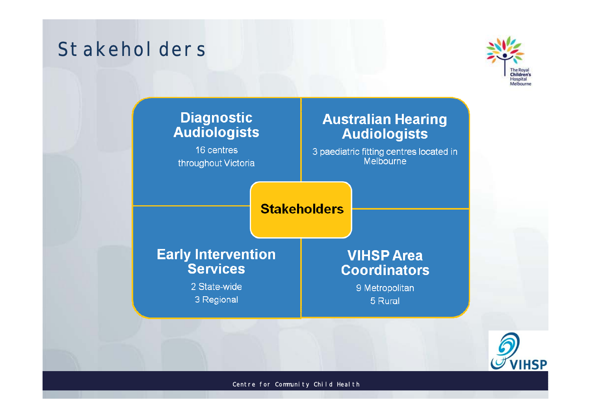### St akehol der s



### **Diagnostic Audiologists**

16 centres throughout Victoria

### **Australian Hearing Audiologists**

3 paediatric fitting centres located in<br>Melbourne

**Stakeholders** 

### **Early Intervention Services**

2 State-wide 3 Regional

### **VIHSP Area Coordinators**

9 Metropolitan 5 Rural

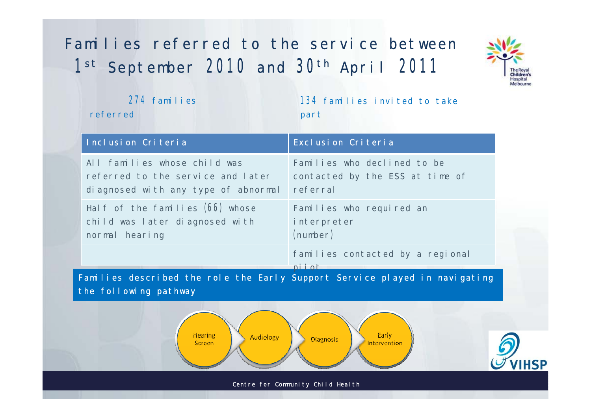## Families referred to the service between  $1<sup>st</sup>$  Sept ember 2010 and  $30<sup>th</sup>$  April 2011



|                                                                                                     | 274 families<br>referred                                                                                 | 134 families invited to take<br>part                                       |  |
|-----------------------------------------------------------------------------------------------------|----------------------------------------------------------------------------------------------------------|----------------------------------------------------------------------------|--|
|                                                                                                     | Inclusion Criteria                                                                                       | Exclusion Criteria                                                         |  |
|                                                                                                     | All families whose child was<br>referred to the service and later<br>diagnosed with any type of abnormal | Families who declined to be<br>contacted by the ESS at time of<br>referral |  |
|                                                                                                     | Half of the families (66) whose<br>child was later diagnosed with<br>normal hearing                      | Families who required an<br>interpreter<br>(number)                        |  |
|                                                                                                     |                                                                                                          | families contacted by a regional<br>niini                                  |  |
| Families described the role the Early Support Service played in navigating<br>the following pathway |                                                                                                          |                                                                            |  |
| Hearing<br>Early<br>Audiology<br>Diagnosis<br>Screen<br>Intervention                                |                                                                                                          |                                                                            |  |
| Centre for Community Child Health                                                                   |                                                                                                          |                                                                            |  |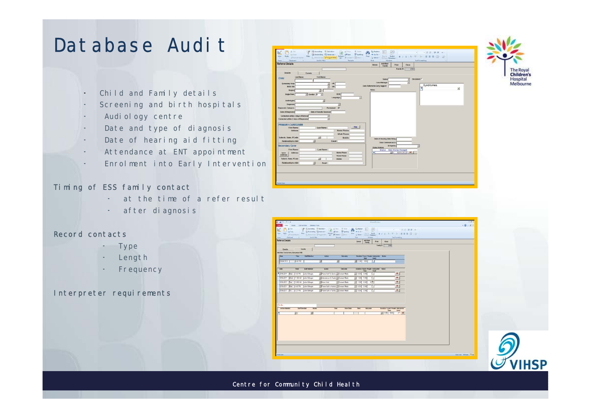### Dat abase Audit

- Child and Family details  $\equiv$
- Screening and birth hospitals
- Audiology centre
- Date and type of diagnosis
- Date of hearing aid fitting
- Attendance at ENT appoint ment
- Enrolment into Early Intervention

#### Timing of ESS family contact

- at the time of a refer result
- after diagnosis

#### Record contacts

- Type
- Lengt h
- Frequency  $\overline{\phantom{a}}$

#### Interpreter requirements





**/IHSP** 

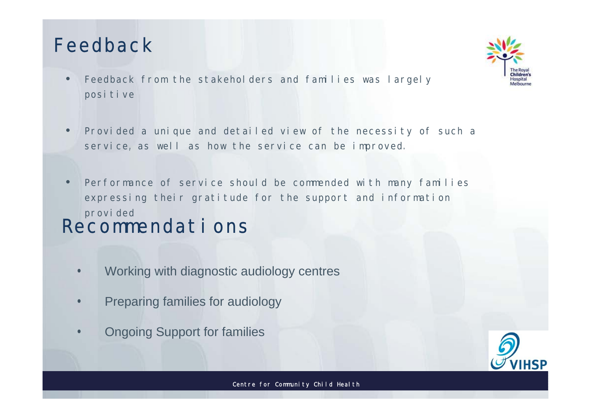## Feedback

- Feedback from the stakeholders and families was largely  $\bullet$ positive
- Provided a unique and detailed view of the necessity of such a  $\bullet$ service, as well as how the service can be improved.
- Performance of service should be commended with many families  $\bullet$ expressing their gratitude for the support and information provided Recommendat i ons
	- Working with diagnostic audiology centres  $\bullet$
	- Preparing families for audiology
	- **Ongoing Support for families**



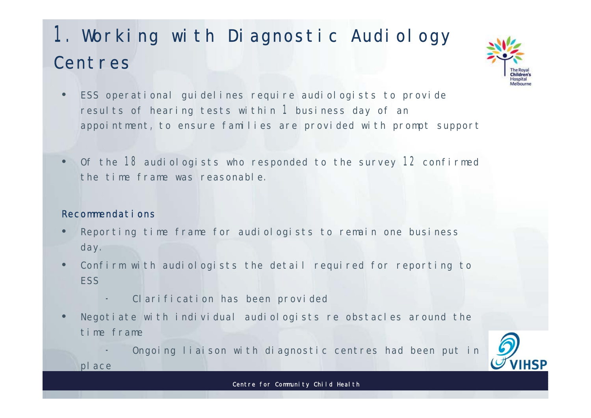## 1. Working with Diagnostic Audiology Centres



- ESS operational quidelines require audiologists to provide results of hearing tests within 1 business day of an appointment, to ensure families are provided with prompt support
- Of the 18 audiologists who responded to the survey 12 confirmed the time frame was reasonable.

#### Recommendations

place

- Reporting time frame for audiologists to remain one business day.
- Confirm with audiologists the detail required for reporting to **FSS** 
	- Clarification has been provided
- Negotiate with individual audiologists re obstacles around the time frame
	- Ongoing liaison with diagnostic centres had been put in

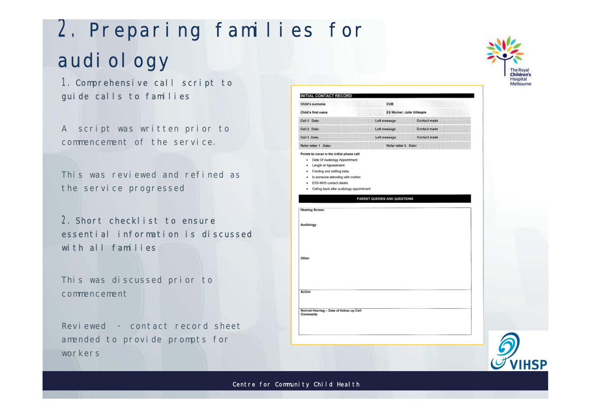# 2. Preparing families for audi ol ogy

1. Comprehensive call script to guide calls to families

A script was written prior to commencement of the service.

This was reviewed and refined as the service progressed

2. Short checklist to ensure essential information is discussed with all families

This was discussed prior to commencement

Reviewed - contact record sheet amended to provide prompts for workers



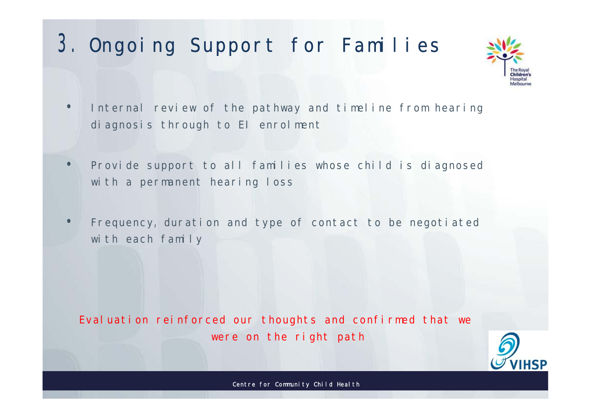## 3. Ongoing Support for Families



- Internal review of the pathway and timeline from hearing  $\bullet$ diagnosis through to El enrolment
- Provide support to all families whose child is diagnosed  $\bullet$ with a permanent hearing loss
- Frequency, duration and type of contact to be negotiated  $\bullet$ with each family

Evaluation reinforced our thoughts and confirmed that we were on the right path

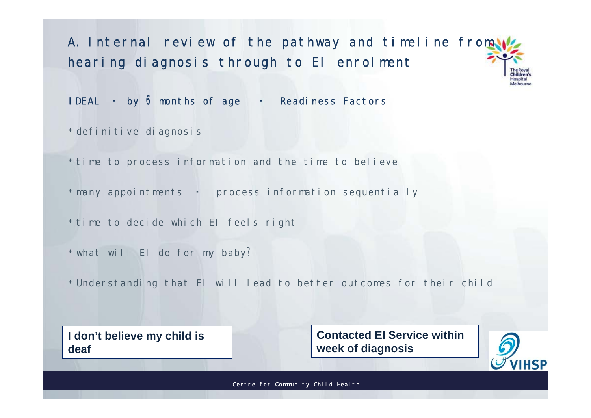A. Internal review of the pathway and timeline from hearing diagnosis through to El enrolment bildson

IDEAL - by 6 months of age - Readiness Factors

·definitive diagnosis

.time to process information and the time to believe

• many appointments - process information sequentially

.time to decide which El feels right

.what will El do for my baby?

. Understanding that El will lead to better outcomes for their child

I don't believe my child is deaf

**Contacted El Service within** week of diagnosis

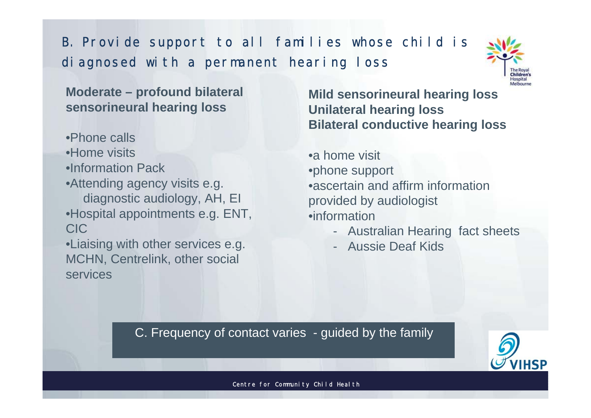B. Provide support to all families whose child is di agnosed with a permanent hearing loss



**Moderate – profound bilateral sensorineural hearing loss**

•Phone calls •Home visits •Information Pack •Attending agency visits e.g. diagnostic audiology, AH, EI •Hospital appointments e.g. ENT, CIC

•Liaising with other services e.g. MCHN, Centrelink, other social services

÷

**Mild sensorineural hearing loss Unilateral hearing loss Bilateral conductive hearing loss**

•a home visit •phone support •ascertain and affirm information provided by audiologist •information

- Australian Hearing fact sheets
- Aussie Deaf Kids

C. Frequency of contact varies - guided by the family